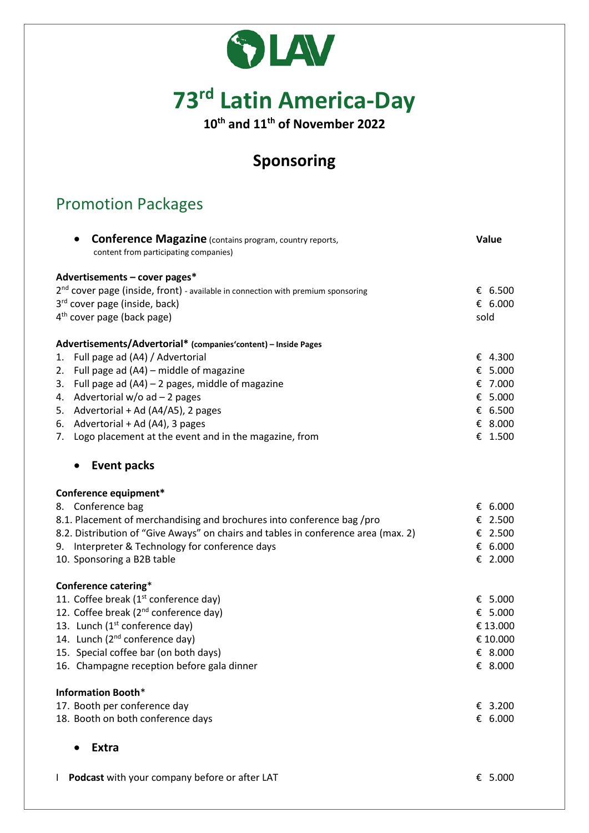



**10th and 11th of November 2022**

# **Sponsoring**

## Promotion Packages

| <b>Conference Magazine</b> (contains program, country reports,                               | Value    |
|----------------------------------------------------------------------------------------------|----------|
| content from participating companies)                                                        |          |
|                                                                                              |          |
| Advertisements - cover pages*                                                                | € 6.500  |
| 2 <sup>nd</sup> cover page (inside, front) - available in connection with premium sponsoring | € 6.000  |
| 3 <sup>rd</sup> cover page (inside, back)<br>$4th$ cover page (back page)                    | sold     |
|                                                                                              |          |
| Advertisements/Advertorial* (companies' content) - Inside Pages                              |          |
| 1. Full page ad (A4) / Advertorial                                                           | € 4.300  |
| 2. Full page ad (A4) - middle of magazine                                                    | € 5.000  |
| 3. Full page ad $(A4)$ – 2 pages, middle of magazine                                         | € 7.000  |
| 4. Advertorial $w/o$ ad $-$ 2 pages                                                          | € 5.000  |
| 5. Advertorial + Ad (A4/A5), 2 pages                                                         | € 6.500  |
| 6. Advertorial + Ad (A4), 3 pages                                                            | € 8.000  |
| 7. Logo placement at the event and in the magazine, from                                     | € 1.500  |
| <b>Event packs</b><br>$\bullet$                                                              |          |
| Conference equipment*                                                                        |          |
| 8. Conference bag                                                                            | € 6.000  |
| 8.1. Placement of merchandising and brochures into conference bag /pro                       | € 2.500  |
| 8.2. Distribution of "Give Aways" on chairs and tables in conference area (max. 2)           | € 2.500  |
| 9. Interpreter & Technology for conference days                                              | € 6.000  |
| 10. Sponsoring a B2B table                                                                   | € 2.000  |
| Conference catering*                                                                         |          |
| 11. Coffee break (1 <sup>st</sup> conference day)                                            | € 5.000  |
| 12. Coffee break (2 <sup>nd</sup> conference day)                                            | € 5.000  |
| 13. Lunch (1 <sup>st</sup> conference day)                                                   | € 13.000 |
| 14. Lunch (2 <sup>nd</sup> conference day)                                                   | € 10.000 |
| 15. Special coffee bar (on both days)                                                        | € 8.000  |
| 16. Champagne reception before gala dinner                                                   | € 8.000  |
| <b>Information Booth*</b>                                                                    |          |
| 17. Booth per conference day                                                                 | € 3.200  |
| 18. Booth on both conference days                                                            | € 6.000  |
|                                                                                              |          |

• **Extra**

I **Podcast** with your company before or after LAT € 5.000